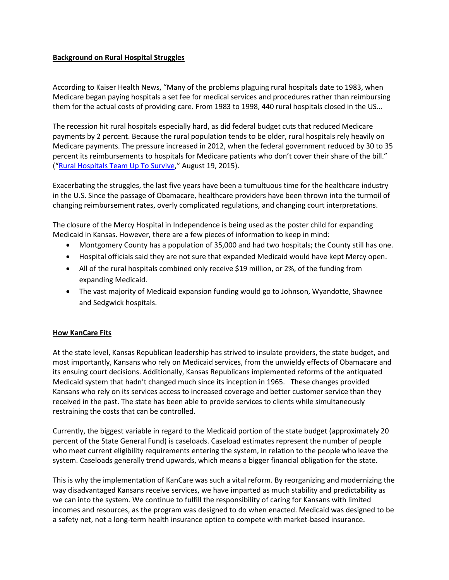## **Background on Rural Hospital Struggles**

According to Kaiser Health News, "Many of the problems plaguing rural hospitals date to 1983, when Medicare began paying hospitals a set fee for medical services and procedures rather than reimbursing them for the actual costs of providing care. From 1983 to 1998, 440 rural hospitals closed in the US…

The recession hit rural hospitals especially hard, as did federal budget cuts that reduced Medicare payments by 2 percent. Because the rural population tends to be older, rural hospitals rely heavily on Medicare payments. The pressure increased in 2012, when the federal government reduced by 30 to 35 percent its reimbursements to hospitals for Medicare patients who don't cover their share of the bill." ("[Rural Hospitals Team Up To Survive](http://khn.org/news/rural-hospitals-team-up-to-survive/)," August 19, 2015).

Exacerbating the struggles, the last five years have been a tumultuous time for the healthcare industry in the U.S. Since the passage of Obamacare, healthcare providers have been thrown into the turmoil of changing reimbursement rates, overly complicated regulations, and changing court interpretations.

The closure of the Mercy Hospital in Independence is being used as the poster child for expanding Medicaid in Kansas. However, there are a few pieces of information to keep in mind:

- Montgomery County has a population of 35,000 and had two hospitals; the County still has one.
- Hospital officials said they are not sure that expanded Medicaid would have kept Mercy open.
- All of the rural hospitals combined only receive \$19 million, or 2%, of the funding from expanding Medicaid.
- The vast majority of Medicaid expansion funding would go to Johnson, Wyandotte, Shawnee and Sedgwick hospitals.

## **How KanCare Fits**

At the state level, Kansas Republican leadership has strived to insulate providers, the state budget, and most importantly, Kansans who rely on Medicaid services, from the unwieldy effects of Obamacare and its ensuing court decisions. Additionally, Kansas Republicans implemented reforms of the antiquated Medicaid system that hadn't changed much since its inception in 1965. These changes provided Kansans who rely on its services access to increased coverage and better customer service than they received in the past. The state has been able to provide services to clients while simultaneously restraining the costs that can be controlled.

Currently, the biggest variable in regard to the Medicaid portion of the state budget (approximately 20 percent of the State General Fund) is caseloads. Caseload estimates represent the number of people who meet current eligibility requirements entering the system, in relation to the people who leave the system. Caseloads generally trend upwards, which means a bigger financial obligation for the state.

This is why the implementation of KanCare was such a vital reform. By reorganizing and modernizing the way disadvantaged Kansans receive services, we have imparted as much stability and predictability as we can into the system. We continue to fulfill the responsibility of caring for Kansans with limited incomes and resources, as the program was designed to do when enacted. Medicaid was designed to be a safety net, not a long-term health insurance option to compete with market-based insurance.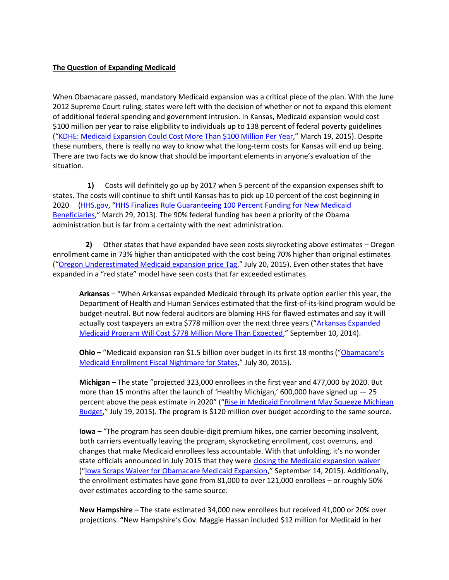## **The Question of Expanding Medicaid**

When Obamacare passed, mandatory Medicaid expansion was a critical piece of the plan. With the June 2012 Supreme Court ruling, states were left with the decision of whether or not to expand this element of additional federal spending and government intrusion. In Kansas, Medicaid expansion would cost \$100 million per year to raise eligibility to individuals up to 138 percent of federal poverty guidelines ("[KDHE: Medicaid Expansion Could Cost More Than \\$100 Million Per Year](http://www.khi.org/news/article/kdhe-medicaid-expansion-could-cost-more-than-100m-per-year)," March 19, 2015). Despite these numbers, there is really no way to know what the long-term costs for Kansas will end up being. There are two facts we do know that should be important elements in anyone's evaluation of the situation.

 **1)** Costs will definitely go up by 2017 when 5 percent of the expansion expenses shift to states. The costs will continue to shift until Kansas has to pick up 10 percent of the cost beginning in 2020 [\(HHS.gov](http://hhs.gov/), "HHS Finalizes Rule Guaranteeing 100 Percent Funding for New Medicaid [Beneficiaries](http://www.hhs.gov/news/press/2013pres/03/20130329a.html)," March 29, 2013). The 90% federal funding has been a priority of the Obama administration but is far from a certainty with the next administration.

 **2)** Other states that have expanded have seen costs skyrocketing above estimates – Oregon enrollment came in 73% higher than anticipated with the cost being 70% higher than original estimates ("[Oregon Underestimated Medicaid expansion price Tag](http://www.statesmanjournal.com/story/news/politics/2015/07/20/oregon-underestimated-medicaid-expansion-price-tag/30407741/)," July 20, 2015). Even other states that have expanded in a "red state" model have seen costs that far exceeded estimates.

**Arkansas** – "When Arkansas expanded Medicaid through its private option earlier this year, the Department of Health and Human Services estimated that the first-of-its-kind program would be budget-neutral. But now federal auditors are blaming HHS for flawed estimates and say it will actually cost taxpayers an extra \$778 million over the next three years ("Arkansas Expanded [Medicaid Program Will Cost \\$778 Million More Than Expected](http://www.thefiscaltimes.com/Articles/2014/09/10/Arkansas-Expanded-Medicaid-Program-Will-Cost-778M-More-Expected)," September 10, 2014).

**Ohio** – "Medicaid expansion ran \$1.5 billion over budget in its first 18 months ("Obamacare's [Medicaid Enrollment Fiscal Nightmare for States](http://www.forbes.com/sites/theapothecary/2015/07/30/obamacares-medicaid-enrollment-explosion-a-looming-fiscal-nightmare-for-states/)," July 30, 2015).

**Michigan –** The state "projected 323,000 enrollees in the first year and 477,000 by 2020. But more than 15 months after the launch of 'Healthy Michigan,' 600,000 have signed up  $-25$ percent above the peak estimate in 2020" ("[Rise in Medicaid Enrollment May Squeeze Michigan](http://www.freep.com/story/news/local/michigan/2015/07/19/surge--medicaid-enrollment--squeeze-michigan-budget/30376795/)  [Budget](http://www.freep.com/story/news/local/michigan/2015/07/19/surge--medicaid-enrollment--squeeze-michigan-budget/30376795/)," July 19, 2015). The program is \$120 million over budget according to the same source.

**Iowa –** "The program has seen double-digit premium hikes, one carrier becoming insolvent, both carriers eventually leaving the program, skyrocketing enrollment, cost overruns, and changes that make Medicaid enrollees less accountable. With that unfolding, it's no wonder state officials announced in July 2015 that they wer[e closing the Medicaid expansion waiver](https://dhs.iowa.gov/sites/default/files/IHQHCI_FullPublicNotice_07202015.pdf) ("[Iowa Scraps Waiver for Obamacare Medicaid Expansion](http://www.forbes.com/sites/theapothecary/2015/09/14/iowa-scraps-waiver-for-obamacare-medicaid-expansion/3/)," September 14, 2015). Additionally, the enrollment estimates have gone from 81,000 to over 121,000 enrollees – or roughly 50% over estimates according to the same source.

**New Hampshire –** The state estimated 34,000 new enrollees but received 41,000 or 20% over projections. **"**New Hampshire's Gov. Maggie Hassan included \$12 million for Medicaid in her